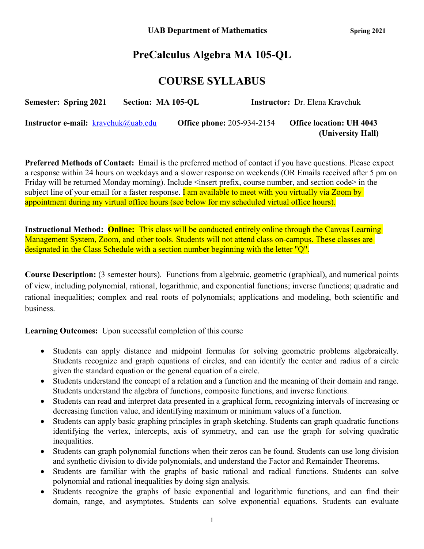# **PreCalculus Algebra MA 105-QL**

# **COURSE SYLLABUS**

| <b>Semester: Spring 2021</b>                  | Section: MA 105-QL |                                   | <b>Instructor:</b> Dr. Elena Kravchuk |
|-----------------------------------------------|--------------------|-----------------------------------|---------------------------------------|
| <b>Instructor e-mail:</b> $k$ ravchuk@uab.edu |                    | <b>Office phone: 205-934-2154</b> | <b>Office location: UH 4043</b>       |
|                                               |                    |                                   | (University Hall)                     |

**Preferred Methods of Contact:** Email is the preferred method of contact if you have questions. Please expect a response within 24 hours on weekdays and a slower response on weekends (OR Emails received after 5 pm on Friday will be returned Monday morning). Include <insert prefix, course number, and section code> in the subject line of your email for a faster response. **I am available to meet with you virtually via Zoom by** appointment during my virtual office hours (see below for my scheduled virtual office hours).

**Instructional Method: Online:** This class will be conducted entirely online through the Canvas Learning Management System, Zoom, and other tools. Students will not attend class on-campus. These classes are designated in the Class Schedule with a section number beginning with the letter "Q".

**Course Description:** (3 semester hours). Functions from algebraic, geometric (graphical), and numerical points of view, including polynomial, rational, logarithmic, and exponential functions; inverse functions; quadratic and rational inequalities; complex and real roots of polynomials; applications and modeling, both scientific and business.

**Learning Outcomes:** Upon successful completion of this course

- Students can apply distance and midpoint formulas for solving geometric problems algebraically. Students recognize and graph equations of circles, and can identify the center and radius of a circle given the standard equation or the general equation of a circle.
- Students understand the concept of a relation and a function and the meaning of their domain and range. Students understand the algebra of functions, composite functions, and inverse functions.
- Students can read and interpret data presented in a graphical form, recognizing intervals of increasing or decreasing function value, and identifying maximum or minimum values of a function.
- Students can apply basic graphing principles in graph sketching. Students can graph quadratic functions identifying the vertex, intercepts, axis of symmetry, and can use the graph for solving quadratic inequalities.
- Students can graph polynomial functions when their zeros can be found. Students can use long division and synthetic division to divide polynomials, and understand the Factor and Remainder Theorems.
- Students are familiar with the graphs of basic rational and radical functions. Students can solve polynomial and rational inequalities by doing sign analysis.
- Students recognize the graphs of basic exponential and logarithmic functions, and can find their domain, range, and asymptotes. Students can solve exponential equations. Students can evaluate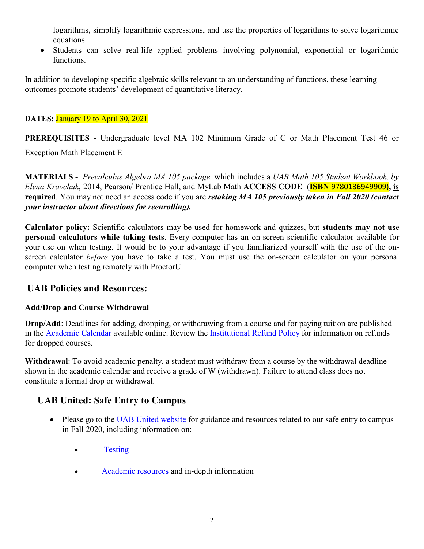logarithms, simplify logarithmic expressions, and use the properties of logarithms to solve logarithmic equations.

• Students can solve real-life applied problems involving polynomial, exponential or logarithmic functions.

In addition to developing specific algebraic skills relevant to an understanding of functions, these learning outcomes promote students' development of quantitative literacy.

### **DATES:** January 19 to April 30, 2021

**PREREQUISITES -** Undergraduate level MA 102 Minimum Grade of C or Math Placement Test 46 or

Exception Math Placement E

**MATERIALS -** *Precalculus Algebra MA 105 package,* which includes a *UAB Math 105 Student Workbook, by Elena Kravchuk*, 2014, Pearson/ Prentice Hall, and MyLab Math **ACCESS CODE (ISBN** 9780136949909)**, is required**. You may not need an access code if you are *retaking MA 105 previously taken in Fall 2020 (contact your instructor about directions for reenrolling).*

**Calculator policy:** Scientific calculators may be used for homework and quizzes, but **students may not use personal calculators while taking tests**. Every computer has an on-screen scientific calculator available for your use on when testing. It would be to your advantage if you familiarized yourself with the use of the onscreen calculator *before* you have to take a test. You must use the on-screen calculator on your personal computer when testing remotely with ProctorU.

# **UAB Policies and Resources:**

### **Add/Drop and Course Withdrawal**

**Drop/Add**: Deadlines for adding, dropping, or withdrawing from a course and for paying tuition are published in the [Academic Calendar](https://www.uab.edu/students/academics/academic-calendar) available online. Review the [Institutional Refund Policy](https://www.uab.edu/students/one-stop/policies/institutional-refund-policy) for information on refunds for dropped courses.

**Withdrawal**: To avoid academic penalty, a student must withdraw from a course by the withdrawal deadline shown in the academic calendar and receive a grade of W (withdrawn). Failure to attend class does not constitute a formal drop or withdrawal.

# **UAB United: Safe Entry to Campus**

- Please go to the [UAB United website](https://www.uab.edu/uabunited/students) for guidance and resources related to our safe entry to campus in Fall 2020, including information on:
	- [Testing](https://www.uab.edu/uabunited/students/testing)
	- [Academic resources](https://www.uab.edu/uabunited/students/academics) and in-depth information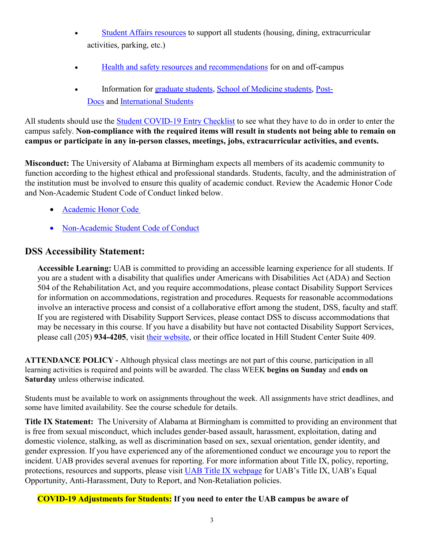- [Student Affairs resources](https://www.uab.edu/uabunited/students/student-affairs) to support all students (housing, dining, extracurricular activities, parking, etc.)
- [Health and safety resources and recommendations](https://www.uab.edu/uabunited/students/health-safety) for on and off-campus
- Information for [graduate students,](https://www.uab.edu/graduate/about/graduate-school-covid-19-updates) [School of Medicine students,](https://www.uab.edu/medicine/home/covid-19-updates) [Post-](https://www.uab.edu/postdocs/covid-19)[Docs](https://www.uab.edu/postdocs/covid-19) and [International Students](https://www.uab.edu/global/about/programs-services/isss/faqs-concerning-recent-sevp-guidance-and-covid-19-planning)

All students should use the [Student COVID-19 Entry Checklist](https://www.uab.edu/uabunited/entry-checklists#student-checklist) to see what they have to do in order to enter the campus safely. **Non-compliance with the required items will result in students not being able to remain on campus or participate in any in-person classes, meetings, jobs, extracurricular activities, and events.**

**Misconduct:** The University of Alabama at Birmingham expects all members of its academic community to function according to the highest ethical and professional standards. Students, faculty, and the administration of the institution must be involved to ensure this quality of academic conduct. Review the Academic Honor Code and Non-Academic Student Code of Conduct linked below.

- [Academic Honor Code](http://www.uab.edu/students/one-stop/policies/academic-honor-code)
- [Non-Academic Student Code of Conduct](http://www.uab.edu/studentconduct)

# **DSS Accessibility Statement:**

**Accessible Learning:** UAB is committed to providing an accessible learning experience for all students. If you are a student with a disability that qualifies under Americans with Disabilities Act (ADA) and Section 504 of the Rehabilitation Act, and you require accommodations, please contact Disability Support Services for information on accommodations, registration and procedures. Requests for reasonable accommodations involve an interactive process and consist of a collaborative effort among the student, DSS, faculty and staff. If you are registered with Disability Support Services, please contact DSS to discuss accommodations that may be necessary in this course. If you have a disability but have not contacted Disability Support Services, please call (205) **934-4205**, visit [their website,](http://www.uab.edu/dss) or their office located in Hill Student Center Suite 409.

**ATTENDANCE POLICY -** Although physical class meetings are not part of this course, participation in all learning activities is required and points will be awarded. The class WEEK **begins on Sunday** and **ends on Saturday** unless otherwise indicated.

Students must be available to work on assignments throughout the week. All assignments have strict deadlines, and some have limited availability. See the course schedule for details.

**Title IX Statement:** The University of Alabama at Birmingham is committed to providing an environment that is free from sexual misconduct, which includes gender-based assault, harassment, exploitation, dating and domestic violence, stalking, as well as discrimination based on sex, sexual orientation, gender identity, and gender expression. If you have experienced any of the aforementioned conduct we encourage you to report the incident. UAB provides several avenues for reporting. For more information about Title IX, policy, reporting, protections, resources and supports, please visit [UAB Title IX webpage](http://www.uab.edu/titleix) for UAB's Title IX, UAB's Equal Opportunity, Anti-Harassment, Duty to Report, and Non-Retaliation policies.

### **COVID-19 Adjustments for Students: If you need to enter the UAB campus be aware of**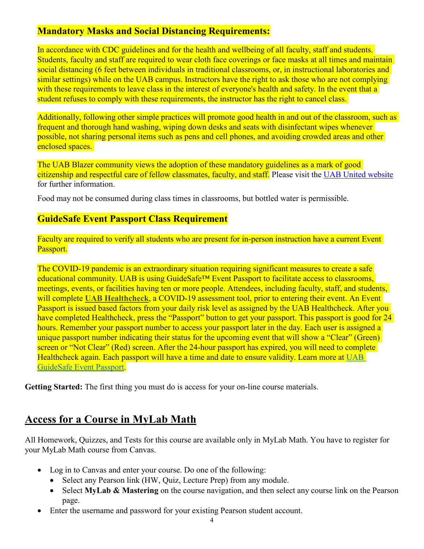# **Mandatory Masks and Social Distancing Requirements:**

In accordance with CDC guidelines and for the health and wellbeing of all faculty, staff and students. Students, faculty and staff are required to wear cloth face coverings or face masks at all times and maintain social distancing (6 feet between individuals in traditional classrooms, or, in instructional laboratories and similar settings) while on the UAB campus. Instructors have the right to ask those who are not complying with these requirements to leave class in the interest of everyone's health and safety. In the event that a student refuses to comply with these requirements, the instructor has the right to cancel class.

Additionally, following other simple practices will promote good health in and out of the classroom, such as frequent and thorough hand washing, wiping down desks and seats with disinfectant wipes whenever possible, not sharing personal items such as pens and cell phones, and avoiding crowded areas and other enclosed spaces.

The UAB Blazer community views the adoption of these mandatory guidelines as a mark of good citizenship and respectful care of fellow classmates, faculty, and staff. Please visit the [UAB United website](https://www.uab.edu/uabunited/students) for further information.

Food may not be consumed during class times in classrooms, but bottled water is permissible.

# **GuideSafe Event Passport Class Requirement**

Faculty are required to verify all students who are present for in-person instruction have a current Event Passport.

The COVID-19 pandemic is an extraordinary situation requiring significant measures to create a safe educational community. UAB is using GuideSafe™ Event Passport to facilitate access to classrooms, meetings, events, or facilities having ten or more people. Attendees, including faculty, staff, and students, will complete **[UAB Healthcheck](https://www.uab.edu/uabunited/uab-healthcheck)**, a COVID-19 assessment tool, prior to entering their event. An Event Passport is issued based factors from your daily risk level as assigned by the UAB Healthcheck. After you have completed Healthcheck, press the "Passport" button to get your passport. This passport is good for 24 hours. Remember your passport number to access your passport later in the day. Each user is assigned a unique passport number indicating their status for the upcoming event that will show a "Clear" (Green) screen or "Not Clear" (Red) screen. After the 24-hour passport has expired, you will need to complete Healthcheck again. Each passport will have a time and date to ensure validity. Learn more at [UAB](https://www.uab.edu/uabunited/guidesafe-event-passport)  [GuideSafe Event Passport.](https://www.uab.edu/uabunited/guidesafe-event-passport)

**Getting Started:** The first thing you must do is access for your on-line course materials.

# **Access for a Course in MyLab Math**

All Homework, Quizzes, and Tests for this course are available only in MyLab Math. You have to register for your MyLab Math course from Canvas.

- Log in to Canvas and enter your course. Do one of the following:
	- Select any Pearson link (HW, Quiz, Lecture Prep) from any module.
	- Select **MyLab & Mastering** on the course navigation, and then select any course link on the Pearson page.
- Enter the username and password for your existing Pearson student account.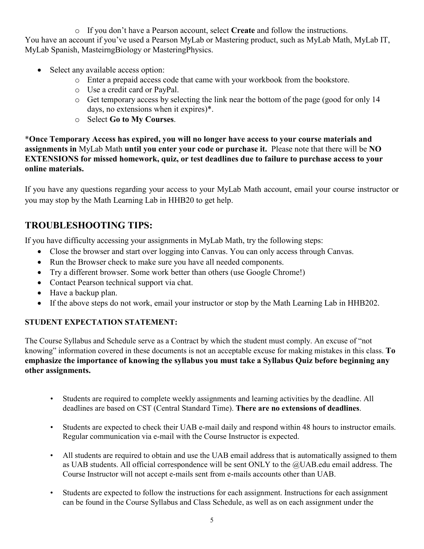o If you don't have a Pearson account, select **Create** and follow the instructions. You have an account if you've used a Pearson MyLab or Mastering product, such as MyLab Math, MyLab IT, MyLab Spanish, MasteirngBiology or MasteringPhysics.

- Select any available access option:
	- o Enter a prepaid access code that came with your workbook from the bookstore.
	- o Use a credit card or PayPal.
	- o Get temporary access by selecting the link near the bottom of the page (good for only 14 days, no extensions when it expires)\*.
	- o Select **Go to My Courses**.

\***Once Temporary Access has expired, you will no longer have access to your course materials and assignments in** MyLab Math **until you enter your code or purchase it.** Please note that there will be **NO EXTENSIONS for missed homework, quiz, or test deadlines due to failure to purchase access to your online materials.**

If you have any questions regarding your access to your MyLab Math account, email your course instructor or you may stop by the Math Learning Lab in HHB20 to get help.

# **TROUBLESHOOTING TIPS:**

If you have difficulty accessing your assignments in MyLab Math, try the following steps:

- Close the browser and start over logging into Canvas. You can only access through Canvas.
- Run the Browser check to make sure you have all needed components.
- Try a different browser. Some work better than others (use Google Chrome!)
- Contact Pearson technical support via chat.
- Have a backup plan.
- If the above steps do not work, email your instructor or stop by the Math Learning Lab in HHB202.

### **STUDENT EXPECTATION STATEMENT:**

The Course Syllabus and Schedule serve as a Contract by which the student must comply. An excuse of "not knowing" information covered in these documents is not an acceptable excuse for making mistakes in this class. **To emphasize the importance of knowing the syllabus you must take a Syllabus Quiz before beginning any other assignments.**

- Students are required to complete weekly assignments and learning activities by the deadline. All deadlines are based on CST (Central Standard Time). **There are no extensions of deadlines**.
- Students are expected to check their UAB e-mail daily and respond within 48 hours to instructor emails. Regular communication via e-mail with the Course Instructor is expected.
- All students are required to obtain and use the UAB email address that is automatically assigned to them as UAB students. All official correspondence will be sent ONLY to the @UAB.edu email address. The Course Instructor will not accept e-mails sent from e-mails accounts other than UAB.
- Students are expected to follow the instructions for each assignment. Instructions for each assignment can be found in the Course Syllabus and Class Schedule, as well as on each assignment under the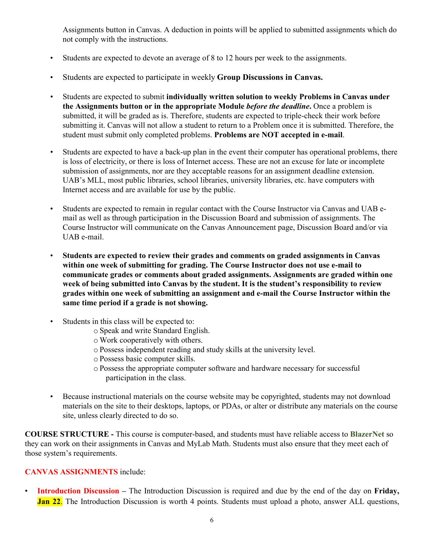Assignments button in Canvas. A deduction in points will be applied to submitted assignments which do not comply with the instructions.

- Students are expected to devote an average of 8 to 12 hours per week to the assignments.
- Students are expected to participate in weekly **Group Discussions in Canvas.**
- Students are expected to submit **individually written solution to weekly Problems in Canvas under the Assignments button or in the appropriate Module** *before the deadline***.** Once a problem is submitted, it will be graded as is. Therefore, students are expected to triple-check their work before submitting it. Canvas will not allow a student to return to a Problem once it is submitted. Therefore, the student must submit only completed problems. **Problems are NOT accepted in e-mail**.
- Students are expected to have a back-up plan in the event their computer has operational problems, there is loss of electricity, or there is loss of Internet access. These are not an excuse for late or incomplete submission of assignments, nor are they acceptable reasons for an assignment deadline extension. UAB's MLL, most public libraries, school libraries, university libraries, etc. have computers with Internet access and are available for use by the public.
- Students are expected to remain in regular contact with the Course Instructor via Canvas and UAB email as well as through participation in the Discussion Board and submission of assignments. The Course Instructor will communicate on the Canvas Announcement page, Discussion Board and/or via UAB e-mail.
- **Students are expected to review their grades and comments on graded assignments in Canvas within one week of submitting for grading. The Course Instructor does not use e-mail to communicate grades or comments about graded assignments. Assignments are graded within one week of being submitted into Canvas by the student. It is the student's responsibility to review grades within one week of submitting an assignment and e-mail the Course Instructor within the same time period if a grade is not showing.**
- Students in this class will be expected to:
	- o Speak and write Standard English.
	- o Work cooperatively with others.
	- o Possess independent reading and study skills at the university level.
	- o Possess basic computer skills.
	- o Possess the appropriate computer software and hardware necessary for successful participation in the class.
- Because instructional materials on the course website may be copyrighted, students may not download materials on the site to their desktops, laptops, or PDAs, or alter or distribute any materials on the course site, unless clearly directed to do so.

**COURSE STRUCTURE -** This course is computer-based, and students must have reliable access to **BlazerNet** so they can work on their assignments in Canvas and MyLab Math. Students must also ensure that they meet each of those system's requirements.

#### **CANVAS ASSIGNMENTS** include:

• **Introduction Discussion –** The Introduction Discussion is required and due by the end of the day on **Friday, Jan 22.** The Introduction Discussion is worth 4 points. Students must upload a photo, answer ALL questions,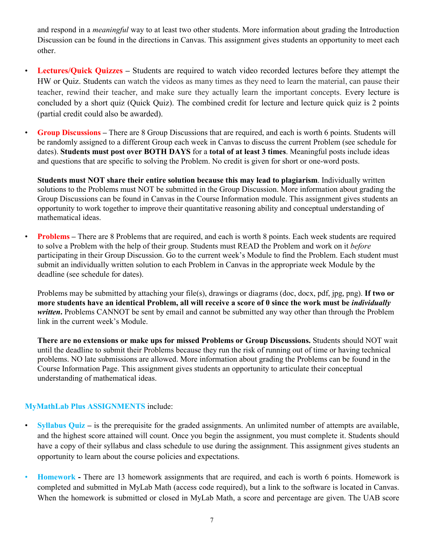and respond in a *meaningful* way to at least two other students. More information about grading the Introduction Discussion can be found in the directions in Canvas. This assignment gives students an opportunity to meet each other.

- **Lectures/Quick Quizzes –** Students are required to watch video recorded lectures before they attempt the HW or Quiz. Students can watch the videos as many times as they need to learn the material, can pause their teacher, rewind their teacher, and make sure they actually learn the important concepts. Every lecture is concluded by a short quiz (Quick Quiz). The combined credit for lecture and lecture quick quiz is 2 points (partial credit could also be awarded).
- **Group Discussions –** There are 8 Group Discussions that are required, and each is worth 6 points. Students will be randomly assigned to a different Group each week in Canvas to discuss the current Problem (see schedule for dates). **Students must post over BOTH DAYS** for a **total of at least 3 times**. Meaningful posts include ideas and questions that are specific to solving the Problem. No credit is given for short or one-word posts.

**Students must NOT share their entire solution because this may lead to plagiarism**. Individually written solutions to the Problems must NOT be submitted in the Group Discussion. More information about grading the Group Discussions can be found in Canvas in the Course Information module. This assignment gives students an opportunity to work together to improve their quantitative reasoning ability and conceptual understanding of mathematical ideas.

• **Problems –** There are 8 Problems that are required, and each is worth 8 points. Each week students are required to solve a Problem with the help of their group. Students must READ the Problem and work on it *before*  participating in their Group Discussion. Go to the current week's Module to find the Problem. Each student must submit an individually written solution to each Problem in Canvas in the appropriate week Module by the deadline (see schedule for dates).

Problems may be submitted by attaching your file(s), drawings or diagrams (doc, docx, pdf, jpg, png). **If two or more students have an identical Problem, all will receive a score of 0 since the work must be** *individually*  written. Problems CANNOT be sent by email and cannot be submitted any way other than through the Problem link in the current week's Module.

**There are no extensions or make ups for missed Problems or Group Discussions.** Students should NOT wait until the deadline to submit their Problems because they run the risk of running out of time or having technical problems. NO late submissions are allowed. More information about grading the Problems can be found in the Course Information Page. This assignment gives students an opportunity to articulate their conceptual understanding of mathematical ideas.

### **MyMathLab Plus ASSIGNMENTS** include:

- **Syllabus Quiz** is the prerequisite for the graded assignments. An unlimited number of attempts are available, and the highest score attained will count. Once you begin the assignment, you must complete it. Students should have a copy of their syllabus and class schedule to use during the assignment. This assignment gives students an opportunity to learn about the course policies and expectations.
- **Homework -** There are 13 homework assignments that are required, and each is worth 6 points. Homework is completed and submitted in MyLab Math (access code required), but a link to the software is located in Canvas. When the homework is submitted or closed in MyLab Math, a score and percentage are given. The UAB score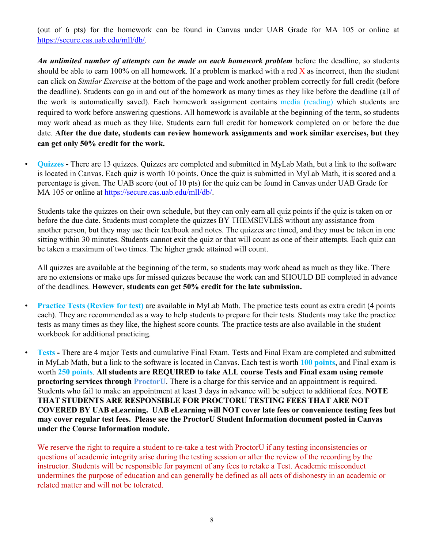(out of 6 pts) for the homework can be found in Canvas under UAB Grade for MA 105 or online at [https://secure.cas.uab.edu/mll/db/.](https://secure.cas.uab.edu/mll/db/)

*An unlimited number of attempts can be made on each homework problem* before the deadline, so students should be able to earn 100% on all homework. If a problem is marked with a red  $\bar{X}$  as incorrect, then the student can click on *Similar Exercise* at the bottom of the page and work another problem correctly for full credit (before the deadline). Students can go in and out of the homework as many times as they like before the deadline (all of the work is automatically saved). Each homework assignment contains media (reading) which students are required to work before answering questions. All homework is available at the beginning of the term, so students may work ahead as much as they like. Students earn full credit for homework completed on or before the due date. **After the due date, students can review homework assignments and work similar exercises, but they can get only 50% credit for the work.** 

• **Quizzes -** There are 13 quizzes. Quizzes are completed and submitted in MyLab Math, but a link to the software is located in Canvas. Each quiz is worth 10 points. Once the quiz is submitted in MyLab Math, it is scored and a percentage is given. The UAB score (out of 10 pts) for the quiz can be found in Canvas under UAB Grade for MA 105 or online at [https://secure.cas.uab.edu/mll/db/.](https://secure.cas.uab.edu/mll/db/)

Students take the quizzes on their own schedule, but they can only earn all quiz points if the quiz is taken on or before the due date. Students must complete the quizzes BY THEMSEVLES without any assistance from another person, but they may use their textbook and notes. The quizzes are timed, and they must be taken in one sitting within 30 minutes. Students cannot exit the quiz or that will count as one of their attempts. Each quiz can be taken a maximum of two times. The higher grade attained will count.

All quizzes are available at the beginning of the term, so students may work ahead as much as they like. There are no extensions or make ups for missed quizzes because the work can and SHOULD BE completed in advance of the deadlines. **However, students can get 50% credit for the late submission.**

• **Practice Tests (Review for test)** are available in MyLab Math. The practice tests count as extra credit (4 points each). They are recommended as a way to help students to prepare for their tests. Students may take the practice tests as many times as they like, the highest score counts. The practice tests are also available in the student workbook for additional practicing.

• **Tests -** There are 4 major Tests and cumulative Final Exam. Tests and Final Exam are completed and submitted in MyLab Math, but a link to the software is located in Canvas. Each test is worth **100 points**, and Final exam is worth **250 points**. **All students are REQUIRED to take ALL course Tests and Final exam using remote proctoring services through ProctorU**. There is a charge for this service and an appointment is required. Students who fail to make an appointment at least 3 days in advance will be subject to additional fees. **NOTE THAT STUDENTS ARE RESPONSIBLE FOR PROCTORU TESTING FEES THAT ARE NOT COVERED BY UAB eLearning. UAB eLearning will NOT cover late fees or convenience testing fees but may cover regular test fees. Please see the ProctorU Student Information document posted in Canvas under the Course Information module.**

We reserve the right to require a student to re-take a test with ProctorU if any testing inconsistencies or questions of academic integrity arise during the testing session or after the review of the recording by the instructor. Students will be responsible for payment of any fees to retake a Test. Academic misconduct undermines the purpose of education and can generally be defined as all acts of dishonesty in an academic or related matter and will not be tolerated.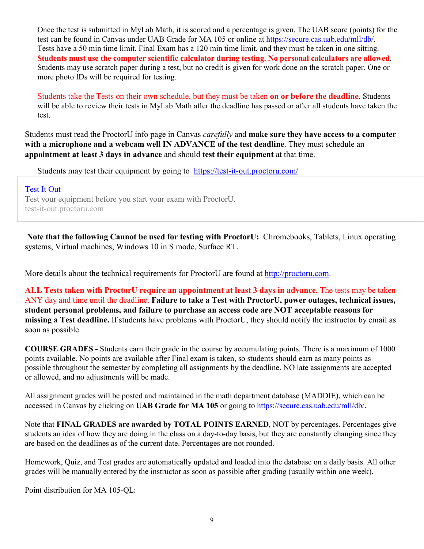Once the test is submitted in MyLab Math, it is scored and a percentage is given. The UAB score (points) for the test can be found in Canvas under UAB Grade for MA 105 or online at https://secure.cas.uab.edu/mll/db/. Tests have a 50 min time limit, Final Exam has a 120 min time limit, and they must be taken in one sitting. **Students must use the computer scientific calculator during testing. No personal calculators are allowed**. Students may use scratch paper during a test, but no credit is given for work done on the scratch paper. One or more photo IDs will be required for testing.

Students take the Tests on their own schedule, but they must be taken **on or before the deadline**. Students will be able to review their tests in MyLab Math after the deadline has passed or after all students have taken the test.

Students must read the ProctorU info page in Canvas *carefully* and **make sure they have access to a computer with a microphone and a webcam well IN ADVANCE of the test deadline**. They must schedule an **appointment at least 3 days in advance** and should **test their equipment** at that time.

Students may test their equipment by going to <https://test-it-out.proctoru.com/>

#### [Test](https://test-it-out.proctoru.com/) It Out

Test your equipment before you start your exam with ProctorU. test-it-out.proctoru.com

**Note that the following Cannot be used for testing with ProctorU:** Chromebooks, Tablets, Linux operating systems, Virtual machines, Windows 10 in S mode, Surface RT.

More details about the technical requirements for ProctorU are found at http://proctoru.com.

**ALL Tests taken with ProctorU require an appointment at least 3 days in advance.** The tests may be taken ANY day and time until the deadline. **Failure to take a Test with ProctorU, power outages, technical issues, student personal problems, and failure to purchase an access code are NOT acceptable reasons for missing a Test deadline.** If students have problems with ProctorU, they should notify the instructor by email as soon as possible.

**COURSE GRADES -** Students earn their grade in the course by accumulating points. There is a maximum of 1000 points available. No points are available after Final exam is taken, so students should earn as many points as possible throughout the semester by completing all assignments by the deadline. NO late assignments are accepted or allowed, and no adjustments will be made.

All assignment grades will be posted and maintained in the math department database (MADDIE), which can be accessed in Canvas by clicking on **UAB Grade for MA 105** or going to https://secure.cas.uab.edu/mll/db/.

Note that **FINAL GRADES are awarded by TOTAL POINTS EARNED**, NOT by percentages. Percentages give students an idea of how they are doing in the class on a day-to-day basis, but they are constantly changing since they are based on the deadlines as of the current date. Percentages are not rounded.

Homework, Quiz, and Test grades are automatically updated and loaded into the database on a daily basis. All other grades will be manually entered by the instructor as soon as possible after grading (usually within one week).

Point distribution for MA 105-QL: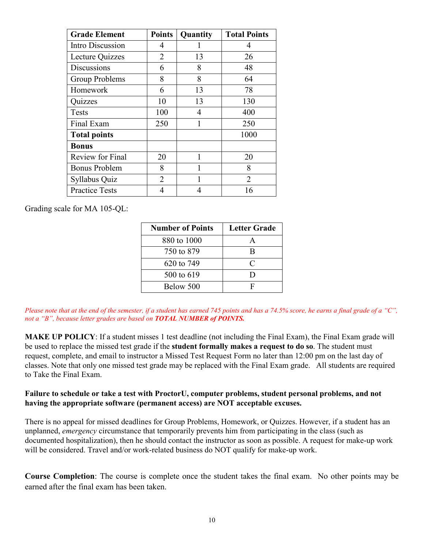| <b>Grade Element</b>    | <b>Points</b>  | Quantity | <b>Total Points</b> |
|-------------------------|----------------|----------|---------------------|
| Intro Discussion        | 4              |          | 4                   |
| Lecture Quizzes         | 2              | 13       | 26                  |
| <b>Discussions</b>      | 6              | 8        | 48                  |
| Group Problems          | 8              | 8        | 64                  |
| Homework                | 6              | 13       | 78                  |
| Quizzes                 | 10             | 13       | 130                 |
| Tests                   | 100            | 4        | 400                 |
| Final Exam              | 250            | 1        | 250                 |
| <b>Total points</b>     |                |          | 1000                |
| <b>Bonus</b>            |                |          |                     |
| <b>Review for Final</b> | 20             |          | 20                  |
| <b>Bonus Problem</b>    | 8              | 1        | 8                   |
| Syllabus Quiz           | $\overline{2}$ |          | $\overline{2}$      |
| <b>Practice Tests</b>   | 4              | 4        | 16                  |

Grading scale for MA 105-QL:

| <b>Number of Points</b> | <b>Letter Grade</b> |
|-------------------------|---------------------|
| 880 to 1000             |                     |
| 750 to 879              | R                   |
| 620 to 749              | C                   |
| 500 to 619              | ו ו                 |
| Below 500               | F                   |

*Please note that at the end of the semester, if a student has earned 745 points and has a 74.5% score, he earns a final grade of a "C", not a "B", because letter grades are based on TOTAL NUMBER of POINTS.*

**MAKE UP POLICY**: If a student misses 1 test deadline (not including the Final Exam), the Final Exam grade will be used to replace the missed test grade if the **student formally makes a request to do so**. The student must request, complete, and email to instructor a Missed Test Request Form no later than 12:00 pm on the last day of classes. Note that only one missed test grade may be replaced with the Final Exam grade. All students are required to Take the Final Exam.

#### **Failure to schedule or take a test with ProctorU, computer problems, student personal problems, and not having the appropriate software (permanent access) are NOT acceptable excuses.**

There is no appeal for missed deadlines for Group Problems, Homework, or Quizzes. However, if a student has an unplanned, *emergency* circumstance that temporarily prevents him from participating in the class (such as documented hospitalization), then he should contact the instructor as soon as possible. A request for make-up work will be considered. Travel and/or work-related business do NOT qualify for make-up work.

**Course Completion**: The course is complete once the student takes the final exam. No other points may be earned after the final exam has been taken.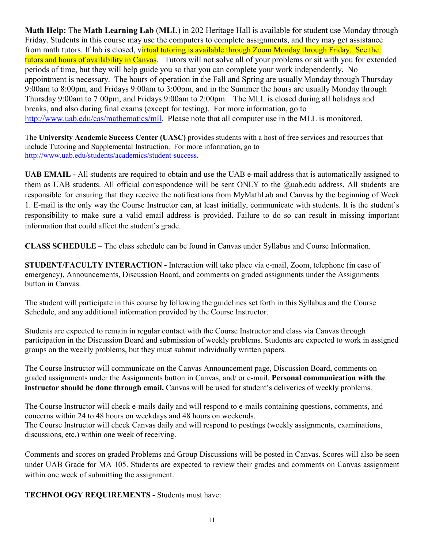**Math Help:** The **Math Learning Lab** (**MLL**) in 202 Heritage Hall is available for student use Monday through Friday. Students in this course may use the computers to complete assignments, and they may get assistance from math tutors. If lab is closed, virtual tutoring is available through Zoom Monday through Friday. See the tutors and hours of availability in Canvas. Tutors will not solve all of your problems or sit with you for extended periods of time, but they will help guide you so that you can complete your work independently. No appointment is necessary. The hours of operation in the Fall and Spring are usually Monday through Thursday 9:00am to 8:00pm, and Fridays 9:00am to 3:00pm, and in the Summer the hours are usually Monday through Thursday 9:00am to 7:00pm, and Fridays 9:00am to 2:00pm. The MLL is closed during all holidays and breaks, and also during final exams (except for testing). For more information, go to [http://www.uab.edu/cas/mathematics/mll.](http://www.uab.edu/cas/mathematics/mll) Please note that all computer use in the MLL is monitored.

The **University Academic Success Center (UASC)** provides students with a host of free services and resources that include Tutoring and Supplemental Instruction. For more information, go to [http://www.uab.edu/students/academics/student-success.](http://www.uab.edu/students/academics/student-success)

**UAB EMAIL -** All students are required to obtain and use the UAB e-mail address that is automatically assigned to them as UAB students. All official correspondence will be sent ONLY to the @uab.edu address. All students are responsible for ensuring that they receive the notifications from MyMathLab and Canvas by the beginning of Week 1. E-mail is the only way the Course Instructor can, at least initially, communicate with students. It is the student's responsibility to make sure a valid email address is provided. Failure to do so can result in missing important information that could affect the student's grade.

**CLASS SCHEDULE** – The class schedule can be found in Canvas under Syllabus and Course Information.

**STUDENT/FACULTY INTERACTION -** Interaction will take place via e-mail, Zoom, telephone (in case of emergency), Announcements, Discussion Board, and comments on graded assignments under the Assignments button in Canvas.

The student will participate in this course by following the guidelines set forth in this Syllabus and the Course Schedule, and any additional information provided by the Course Instructor.

Students are expected to remain in regular contact with the Course Instructor and class via Canvas through participation in the Discussion Board and submission of weekly problems. Students are expected to work in assigned groups on the weekly problems, but they must submit individually written papers.

The Course Instructor will communicate on the Canvas Announcement page, Discussion Board, comments on graded assignments under the Assignments button in Canvas, and/ or e-mail. **Personal communication with the instructor should be done through email.** Canvas will be used for student's deliveries of weekly problems.

The Course Instructor will check e-mails daily and will respond to e-mails containing questions, comments, and concerns within 24 to 48 hours on weekdays and 48 hours on weekends. The Course Instructor will check Canvas daily and will respond to postings (weekly assignments, examinations, discussions, etc.) within one week of receiving.

Comments and scores on graded Problems and Group Discussions will be posted in Canvas. Scores will also be seen under UAB Grade for MA 105. Students are expected to review their grades and comments on Canvas assignment within one week of submitting the assignment.

**TECHNOLOGY REQUIREMENTS -** Students must have: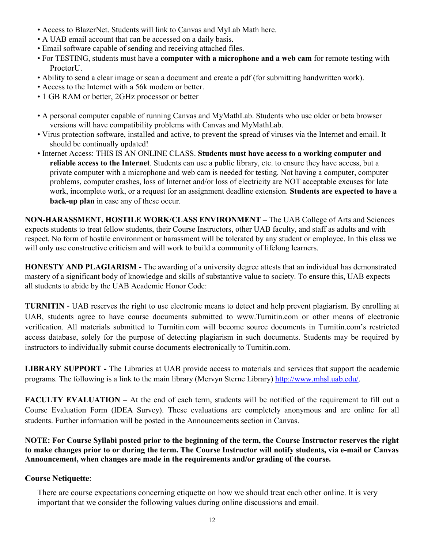- Access to BlazerNet. Students will link to Canvas and MyLab Math here.
- A UAB email account that can be accessed on a daily basis.
- Email software capable of sending and receiving attached files.
- For TESTING, students must have a **computer with a microphone and a web cam** for remote testing with Proctor<sup>U</sup>.
- Ability to send a clear image or scan a document and create a pdf (for submitting handwritten work).
- Access to the Internet with a 56k modem or better.
- 1 GB RAM or better, 2GHz processor or better
- A personal computer capable of running Canvas and MyMathLab. Students who use older or beta browser versions will have compatibility problems with Canvas and MyMathLab.
- Virus protection software, installed and active, to prevent the spread of viruses via the Internet and email. It should be continually updated!
- Internet Access: THIS IS AN ONLINE CLASS. **Students must have access to a working computer and reliable access to the Internet**. Students can use a public library, etc. to ensure they have access, but a private computer with a microphone and web cam is needed for testing. Not having a computer, computer problems, computer crashes, loss of Internet and/or loss of electricity are NOT acceptable excuses for late work, incomplete work, or a request for an assignment deadline extension. **Students are expected to have a back-up plan** in case any of these occur.

**NON-HARASSMENT, HOSTILE WORK/CLASS ENVIRONMENT –** The UAB College of Arts and Sciences expects students to treat fellow students, their Course Instructors, other UAB faculty, and staff as adults and with respect. No form of hostile environment or harassment will be tolerated by any student or employee. In this class we will only use constructive criticism and will work to build a community of lifelong learners.

**HONESTY AND PLAGIARISM -** The awarding of a university degree attests that an individual has demonstrated mastery of a significant body of knowledge and skills of substantive value to society. To ensure this, UAB expects all students to abide by the UAB Academic Honor Code:

**TURNITIN** - UAB reserves the right to use electronic means to detect and help prevent plagiarism. By enrolling at UAB, students agree to have course documents submitted to www.Turnitin.com or other means of electronic verification. All materials submitted to Turnitin.com will become source documents in Turnitin.com's restricted access database, solely for the purpose of detecting plagiarism in such documents. Students may be required by instructors to individually submit course documents electronically to Turnitin.com.

**LIBRARY SUPPORT -** The Libraries at UAB provide access to materials and services that support the academic programs. The following is a link to the main library (Mervyn Sterne Library) http://www.mhsl.uab.edu/.

**FACULTY EVALUATION –** At the end of each term, students will be notified of the requirement to fill out a Course Evaluation Form (IDEA Survey). These evaluations are completely anonymous and are online for all students. Further information will be posted in the Announcements section in Canvas.

**NOTE: For Course Syllabi posted prior to the beginning of the term, the Course Instructor reserves the right to make changes prior to or during the term. The Course Instructor will notify students, via e-mail or Canvas Announcement, when changes are made in the requirements and/or grading of the course.**

### **Course Netiquette**:

There are course expectations concerning etiquette on how we should treat each other online. It is very important that we consider the following values during online discussions and email.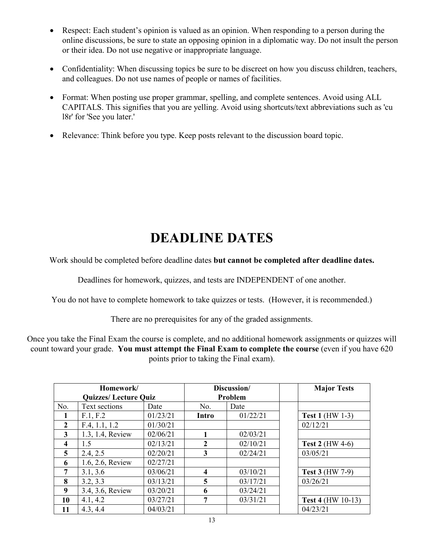- Respect: Each student's opinion is valued as an opinion. When responding to a person during the online discussions, be sure to state an opposing opinion in a diplomatic way. Do not insult the person or their idea. Do not use negative or inappropriate language.
- Confidentiality: When discussing topics be sure to be discreet on how you discuss children, teachers, and colleagues. Do not use names of people or names of facilities.
- Format: When posting use proper grammar, spelling, and complete sentences. Avoid using ALL CAPITALS. This signifies that you are yelling. Avoid using shortcuts/text abbreviations such as 'cu l8r' for 'See you later.'
- Relevance: Think before you type. Keep posts relevant to the discussion board topic.

# **DEADLINE DATES**

Work should be completed before deadline dates **but cannot be completed after deadline dates.**

Deadlines for homework, quizzes, and tests are INDEPENDENT of one another.

You do not have to complete homework to take quizzes or tests. (However, it is recommended.)

There are no prerequisites for any of the graded assignments.

Once you take the Final Exam the course is complete, and no additional homework assignments or quizzes will count toward your grade. **You must attempt the Final Exam to complete the course** (even if you have 620 points prior to taking the Final exam).

| Homework/                   |                  | Discussion/ |                | <b>Major Tests</b> |                          |
|-----------------------------|------------------|-------------|----------------|--------------------|--------------------------|
| <b>Quizzes/Lecture Quiz</b> |                  | Problem     |                |                    |                          |
| No.                         | Text sections    | Date        | No.            | Date               |                          |
|                             | F.1, F.2         | 01/23/21    | Intro          | 01/22/21           | <b>Test 1 (HW 1-3)</b>   |
| $\overline{2}$              | F.4, 1.1, 1.2    | 01/30/21    |                |                    | 02/12/21                 |
| 3                           | 1.3, 1.4, Review | 02/06/21    |                | 02/03/21           |                          |
| $\boldsymbol{4}$            | 1.5              | 02/13/21    | $\mathbf{2}$   | 02/10/21           | Test 2 ( $HW$ 4-6)       |
| 5                           | 2.4, 2.5         | 02/20/21    | 3              | 02/24/21           | 03/05/21                 |
| 6                           | 1.6, 2.6, Review | 02/27/21    |                |                    |                          |
| 7                           | 3.1, 3.6         | 03/06/21    | 4              | 03/10/21           | <b>Test 3 (HW 7-9)</b>   |
| 8                           | 3.2, 3.3         | 03/13/21    | $\overline{5}$ | 03/17/21           | 03/26/21                 |
| 9                           | 3.4, 3.6, Review | 03/20/21    | 6              | 03/24/21           |                          |
| 10                          | 4.1, 4.2         | 03/27/21    | 7              | 03/31/21           | <b>Test 4 (HW 10-13)</b> |
| 11                          | 4.3, 4.4         | 04/03/21    |                |                    | 04/23/21                 |